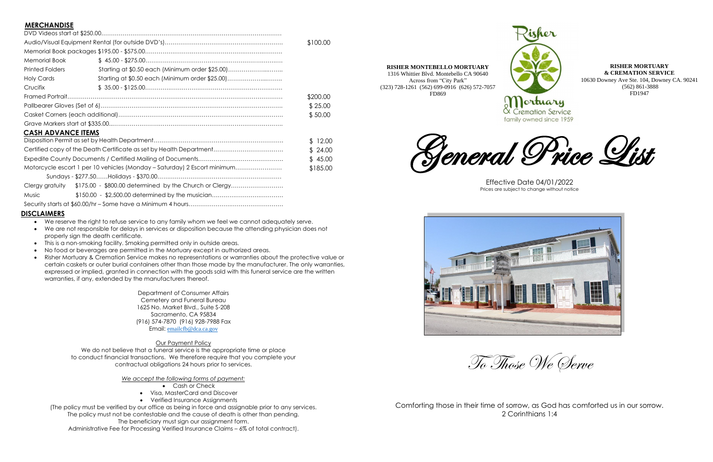# **MERCHANDISE**

| "…………………                                                                             |                                                        |         |
|--------------------------------------------------------------------------------------|--------------------------------------------------------|---------|
|                                                                                      |                                                        |         |
|                                                                                      |                                                        |         |
|                                                                                      |                                                        |         |
| <b>Memorial Book</b>                                                                 | $$ 45.00 - $275.00 \dots 1000$                         |         |
| <b>Printed Folders</b>                                                               | Starting at \$0.50 each (Minimum order \$25.00)        |         |
| <b>Holy Cards</b>                                                                    |                                                        |         |
| Crucifix                                                                             |                                                        |         |
|                                                                                      |                                                        |         |
|                                                                                      |                                                        | \$25.00 |
|                                                                                      |                                                        |         |
|                                                                                      |                                                        |         |
| <b>CASH ADVANCE ITEMS</b>                                                            |                                                        |         |
|                                                                                      |                                                        |         |
| Certified copy of the Death Certificate as set by Health Department                  |                                                        |         |
|                                                                                      |                                                        |         |
| Motorcycle escort 1 per 10 vehicles (Monday – Saturday) 2 Escort minimum<br>\$185.00 |                                                        |         |
|                                                                                      |                                                        |         |
| Clergy gratuity                                                                      | \$175.00 - \$800.00 determined by the Church or Clergy |         |
| Music                                                                                | \$150.00 - \$2,500.00 determined by the musician       |         |
|                                                                                      |                                                        |         |

We do not believe that a funeral service is the appropriate time or place to conduct financial transactions. We therefore require that you complete your contractual obligations 24 hours prior to services.

Security starts at \$60.00/hr – Some have a Minimum 4 hours………………….………………………

## **DISCLAIMERS**

- We reserve the right to refuse service to any family whom we feel we cannot adequately serve.
- We are not responsible for delays in services or disposition because the attending physician does not properly sign the death certificate.
- This is a non-smoking facility. Smoking permitted only in outside areas.
- No food or beverages are permitted in the Mortuary except in authorized areas.
- Risher Mortuary & Cremation Service makes no representations or warranties about the protective value or certain caskets or outer burial containers other than those made by the manufacturer. The only warranties, expressed or implied, granted in connection with the goods sold with this funeral service are the written warranties, if any, extended by the manufacturers thereof.

Department of Consumer Affairs Cemetery and Funeral Bureau 1625 No. Market Blvd., Suite S-208 Sacramento, CA 95834 (916) 574-7870 (916) 928-7988 Fax Email: [emailcfb@dca.ca.gov](mailto:emailcfb@dca.ca.gov)

## Our Payment Policy

*We accept the following forms of payment:*

- Cash or Check
- Visa, MasterCard and Discover
- Verified Insurance Assignments

(The policy must be verified by our office as being in force and assignable prior to any services. The policy must not be contestable and the cause of death is other than pending. The beneficiary must sign our assignment form.

Administrative Fee for Processing Verified Insurance Claims – 6% of total contract).





Effective Date 04/01/2022 Prices are subject to change without notice

To Those We Serve

Comforting those in their time of sorrow, as God has comforted us in our sorrow. 2 Corinthians 1:4

**RISHER MORTUARY & CREMATION SERVICE** 10630 Downey Ave Ste. 104, Downey CA. 90241 (562) 861-3888 FD1947

family owned since 1959

**RISHER MONTEBELLO MORTUARY** 1316 Whittier Blvd. Montebello CA 90640 Across from "City Park"

(323) 728-1261 (562) 699-0916 (626) 572-7057 FD869